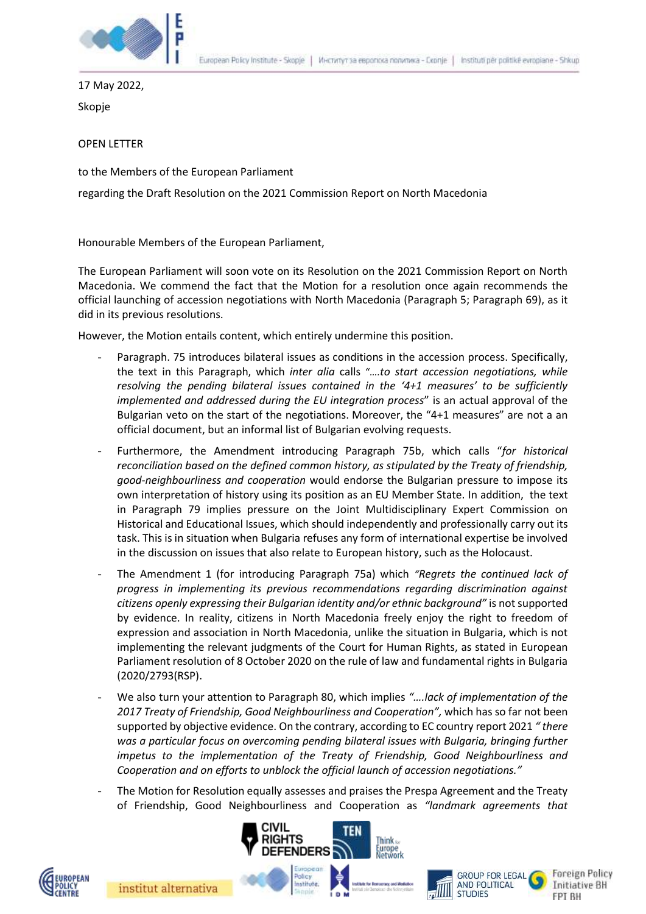

17 May 2022,

Skopje

OPEN LETTER

to the Members of the European Parliament

regarding the Draft Resolution on the 2021 Commission Report on North Macedonia

Honourable Members of the European Parliament,

The European Parliament will soon vote on its Resolution on the 2021 Commission Report on North Macedonia. We commend the fact that the Motion for a resolution once again recommends the official launching of accession negotiations with North Macedonia (Paragraph 5; Paragraph 69), as it did in its previous resolutions.

However, the Motion entails content, which entirely undermine this position.

- Paragraph. 75 introduces bilateral issues as conditions in the accession process. Specifically, the text in this Paragraph, which *inter alia* calls "*….to start accession negotiations, while resolving the pending bilateral issues contained in the '4+1 measures' to be sufficiently implemented and addressed during the EU integration process*" is an actual approval of the Bulgarian veto on the start of the negotiations. Moreover, the "4+1 measures" are not a an official document, but an informal list of Bulgarian evolving requests.
- Furthermore, the Amendment introducing Paragraph 75b, which calls "*for historical reconciliation based on the defined common history, as stipulated by the Treaty of friendship, good-neighbourliness and cooperation* would endorse the Bulgarian pressure to impose its own interpretation of history using its position as an EU Member State. In addition, the text in Paragraph 79 implies pressure on the Joint Multidisciplinary Expert Commission on Historical and Educational Issues, which should independently and professionally carry out its task. This is in situation when Bulgaria refuses any form of international expertise be involved in the discussion on issues that also relate to European history, such as the Holocaust.
- The Amendment 1 (for introducing Paragraph 75a) which *"Regrets the continued lack of progress in implementing its previous recommendations regarding discrimination against citizens openly expressing their Bulgarian identity and/or ethnic background"* is not supported by evidence. In reality, citizens in North Macedonia freely enjoy the right to freedom of expression and association in North Macedonia, unlike the situation in Bulgaria, which is not implementing the relevant judgments of the Court for Human Rights, as stated in European Parliament resolution of 8 October 2020 on the rule of law and fundamental rights in Bulgaria [\(2020/2793\(RSP\).](https://oeil.secure.europarl.europa.eu/oeil/popups/ficheprocedure.do?lang=en&reference=2020/2793(RSP))
- We also turn your attention to Paragraph 80, which implies *"….lack of implementation of the 2017 Treaty of Friendship, Good Neighbourliness and Cooperation",* which has so far not been supported by objective evidence. On the contrary, according to EC country report 2021 *" there was a particular focus on overcoming pending bilateral issues with Bulgaria, bringing further impetus to the implementation of the Treaty of Friendship, Good Neighbourliness and Cooperation and on efforts to unblock the official launch of accession negotiations."*
- The Motion for Resolution equally assesses and praises the Prespa Agreement and the Treaty of Friendship, Good Neighbourliness and Cooperation as *"landmark agreements that*







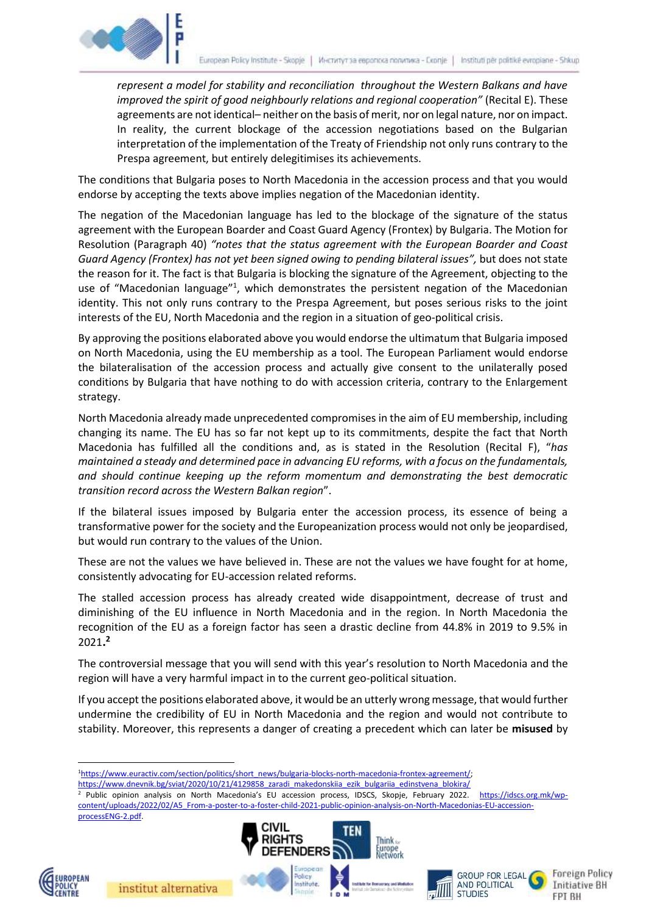

*represent a model for stability and reconciliation throughout the Western Balkans and have improved the spirit of good neighbourly relations and regional cooperation"* (Recital E). These agreements are not identical– neither on the basis of merit, nor on legal nature, nor on impact. In reality, the current blockage of the accession negotiations based on the Bulgarian interpretation of the implementation of the Treaty of Friendship not only runs contrary to the Prespa agreement, but entirely delegitimises its achievements.

The conditions that Bulgaria poses to North Macedonia in the accession process and that you would endorse by accepting the texts above implies negation of the Macedonian identity.

The negation of the Macedonian language has led to the blockage of the signature of the status agreement with the European Boarder and Coast Guard Agency (Frontex) by Bulgaria. The Motion for Resolution (Paragraph 40) *"notes that the status agreement with the European Boarder and Coast Guard Agency (Frontex) has not yet been signed owing to pending bilateral issues",* but does not state the reason for it. The fact is that Bulgaria is blocking the signature of the Agreement, objecting to the use of "Macedonian language"<sup>1</sup>, which demonstrates the persistent negation of the Macedonian identity. This not only runs contrary to the Prespa Agreement, but poses serious risks to the joint interests of the EU, North Macedonia and the region in a situation of geo-political crisis.

By approving the positions elaborated above you would endorse the ultimatum that Bulgaria imposed on North Macedonia, using the EU membership as a tool. The European Parliament would endorse the bilateralisation of the accession process and actually give consent to the unilaterally posed conditions by Bulgaria that have nothing to do with accession criteria, contrary to the Enlargement strategy.

North Macedonia already made unprecedented compromises in the aim of EU membership, including changing its name. The EU has so far not kept up to its commitments, despite the fact that North Macedonia has fulfilled all the conditions and, as is stated in the Resolution (Recital F), "*has maintained a steady and determined pace in advancing EU reforms, with a focus on the fundamentals, and should continue keeping up the reform momentum and demonstrating the best democratic transition record across the Western Balkan region*".

If the bilateral issues imposed by Bulgaria enter the accession process, its essence of being a transformative power for the society and the Europeanization process would not only be jeopardised, but would run contrary to the values of the Union.

These are not the values we have believed in. These are not the values we have fought for at home, consistently advocating for EU-accession related reforms.

The stalled accession process has already created wide disappointment, decrease of trust and diminishing of the EU influence in North Macedonia and in the region. In North Macedonia the recognition of the EU as a foreign factor has seen a drastic decline from 44.8% in 2019 to 9.5% in 2021**. 2**

The controversial message that you will send with this year's resolution to North Macedonia and the region will have a very harmful impact in to the current geo-political situation.

If you accept the positions elaborated above, it would be an utterly wrong message, that would further undermine the credibility of EU in North Macedonia and the region and would not contribute to stability. Moreover, this represents a danger of creating a precedent which can later be **misused** by

[https://www.dnevnik.bg/sviat/2020/10/21/4129858\\_zaradi\\_makedonskiia\\_ezik\\_bulgariia\\_edinstvena\\_blokira/](https://www.dnevnik.bg/sviat/2020/10/21/4129858_zaradi_makedonskiia_ezik_bulgariia_edinstvena_blokira/) <sup>2</sup> Public opinion analysis on North Macedonia's EU accession process, IDSCS, Skopje, February 2022. [https://idscs.org.mk/wp](https://idscs.org.mk/wp-content/uploads/2022/02/A5_From-a-poster-to-a-foster-child-2021-public-opinion-analysis-on-North-Macedonias-EU-accession-processENG-2.pdf)[content/uploads/2022/02/A5\\_From-a-poster-to-a-foster-child-2021-public-opinion-analysis-on-North-Macedonias-EU-accession](https://idscs.org.mk/wp-content/uploads/2022/02/A5_From-a-poster-to-a-foster-child-2021-public-opinion-analysis-on-North-Macedonias-EU-accession-processENG-2.pdf)[processENG-2.pdf.](https://idscs.org.mk/wp-content/uploads/2022/02/A5_From-a-poster-to-a-foster-child-2021-public-opinion-analysis-on-North-Macedonias-EU-accession-processENG-2.pdf)







**Foreign Policy Initiative BH** FPT BH



 $\overline{a}$ 

<sup>&</sup>lt;sup>1</sup>https://www.euractiv.com/section/politics/short\_news/bulgaria-blocks-north-macedonia-frontex-agreement/;